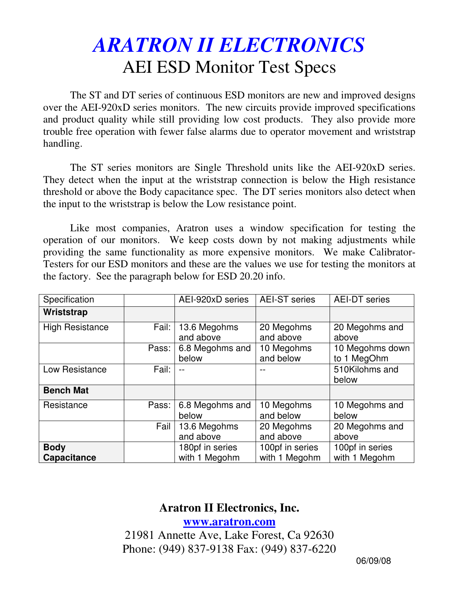## *ARATRON II ELECTRONICS* AEI ESD Monitor Test Specs

The ST and DT series of continuous ESD monitors are new and improved designs over the AEI-920xD series monitors. The new circuits provide improved specifications and product quality while still providing low cost products. They also provide more trouble free operation with fewer false alarms due to operator movement and wriststrap handling.

The ST series monitors are Single Threshold units like the AEI-920xD series. They detect when the input at the wriststrap connection is below the High resistance threshold or above the Body capacitance spec. The DT series monitors also detect when the input to the wriststrap is below the Low resistance point.

Like most companies, Aratron uses a window specification for testing the operation of our monitors. We keep costs down by not making adjustments while providing the same functionality as more expensive monitors. We make Calibrator-Testers for our ESD monitors and these are the values we use for testing the monitors at the factory. See the paragraph below for ESD 20.20 info.

| Specification                     |       | AEI-920xD series                 | <b>AEI-ST</b> series             | <b>AEI-DT</b> series             |
|-----------------------------------|-------|----------------------------------|----------------------------------|----------------------------------|
| Wriststrap                        |       |                                  |                                  |                                  |
| <b>High Resistance</b>            | Fail: | 13.6 Megohms<br>and above        | 20 Megohms<br>and above          | 20 Megohms and<br>above          |
|                                   | Pass: | 6.8 Megohms and<br>below         | 10 Megohms<br>and below          | 10 Megohms down<br>to 1 MegOhm   |
| Low Resistance                    | Fail: |                                  |                                  | 510Kilohms and<br>below          |
| <b>Bench Mat</b>                  |       |                                  |                                  |                                  |
| Resistance                        | Pass: | 6.8 Megohms and<br>below         | 10 Megohms<br>and below          | 10 Megohms and<br>below          |
|                                   | Fail  | 13.6 Megohms<br>and above        | 20 Megohms<br>and above          | 20 Megohms and<br>above          |
| <b>Body</b><br><b>Capacitance</b> |       | 180pf in series<br>with 1 Megohm | 100pf in series<br>with 1 Megohm | 100pf in series<br>with 1 Megohm |

## **Aratron II Electronics, Inc.**

**www.aratron.com**

21981 Annette Ave, Lake Forest, Ca 92630 Phone: (949) 837-9138 Fax: (949) 837-6220